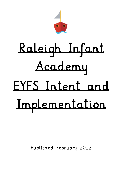

# Raleigh Infant Academy EYFS Intent and Implementation

Published February 2022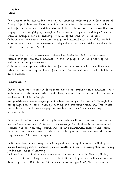# Early Years Intent

The 'unique child' sits at the centre of our teaching philosophy with Early Years at Raleigh Infant Academy. Every child has the potential to be aspirational, resilient and safe. Our adults at Raleigh understand that children learn best when they are engaged in meaningful play through active learning. We place great importance on creating strong, positive relationships with all of the children in our care. Children are encouraged to explore, engage and interact with a carefully crafted learning environment that encourages independence and social skills, based on the children's needs and interests.

Following the new EYFS curriculum released in September 2021, we have made positive changes that put communication and language at the very heart of our children's learning experiences.

Children's language acquisition is vital for good progress in education, therefore, extending the knowledge and use of vocabulary for our children is embedded in our daily practice.

# Implementation

Our reflective practitioners in Early Years place great emphasis on communication; it underpins our interactions with the children, whether this be during adult let carpet sessions or child initiated play.

Our practitioners model language and extend learning in the moment, through the use of high quality, open-ended questioning and ambitious vocabulary. This enables the children to think more deeply and practise the use of new vocabulary independently.

Development Matters non-statutory guidance includes three prime areas that support our continuous provision at Raleigh. We encourage the children to be independent learners who are naturally curious. Our learning environment supports vital social skills and language acquisition, which particularly supports our children who learn English as an Additional Language.

In Nursery, Key Person groups help to support our youngest learners in their prime areas, building positive relationships with adults and peers, ensuring they are ready for the next stage of learning.

In Reception, our children experience Adult led carpet times for Phonics, Maths, Literacy, Topic and Story, as well as child initiated play, known to the children as 'Challenge Time.' It is during this precious learning opportunity that our adults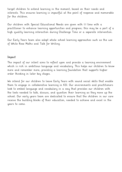target children to extend learning in the moment, based on their needs and interests. This ensures learning is impactful at the point of response and memorable for the children.

Our children with Special Educational Needs are given with 1:1 time with a practitioner to enhance learning opportunities and progress; this may be a part of a high quality learning interaction during Challenge Time or a separate intervention.

Our Early Years team also adopt whole school learning approaches such as the use of White Rose Maths and Talk for Writing.

# Impact

The impact of our intent aims to reflect upon and provide a learning environment which is rich in ambitious language and vocabulary. This helps our children to know more and remember more, providing a learning foundation that supports higher order thinking in later key stages.

We intend for our children to leave Early Years with sound social skills that enable them to engage in collaborative learning in KS1. Our environments and practitioners look to embed language and vocabulary in a way that provides our children with the tools needed to talk, discuss, and question their learning as they move up the school. Our early years team are dedicated to ensure that the children in our care receive the building blocks of their education, needed to achieve and excel in the years to come.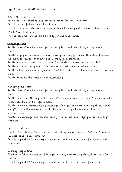# Expectations for Adults in Early Years

Before the children arrive Resources to be checked and prepared ready for challenge time. TA's to be briefed on timetable changes. TA's to check outside area for unsafe items (broken plastic, glass, animal faeces etc) before children arrive. TA's to open up outside area's ready for challenge time.

### Challenge Time

Adults to reinforce behaviour for learning to a high standard, using behaviour chart.

Adults engaging in children's play, moving learning forwards. This should include the main objectives for maths and literacy from planning.

Adults modelling social skills in play (eye contact, sharing resources etc.)

Adults modelling language in full sentences, using enhanced vocabulary.

Adults asking open ended questions that help children to know more and remember more.

Adults down on the child's level interacting.

### Managing the room

Adults to reinforce behaviour for learning to a high standard, using behaviour chart.

Adults to oversee the appropriate use of areas and resources (use tambourine/bells to stop children and reinforce use.)

Adults to give directions using language "Can you show me how to put your coat away?" This will encourage the children to make good choices and foster independence.

Adults to encourage and enforce care for resources and tidying away to a high standard.

## Maths carpet time

Teacher to utilise maths resources, embedding concrete representations of number (number beads and Numicon.)

TA's to support LAP's on carpet, explaining and modelling use of mathematical vocabulary.

## Literacy carpet time

Teacher to follow sequence of talk for writing, encouraging storytelling skills for children.

TA's to support LAP's on carpet, explaining and modelling use of vocabulary.